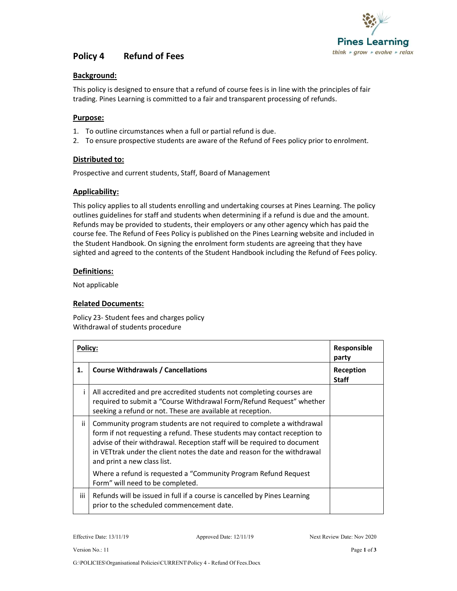

# Policy 4 Refund of Fees

## Background:

This policy is designed to ensure that a refund of course fees is in line with the principles of fair trading. Pines Learning is committed to a fair and transparent processing of refunds.

### Purpose:

- 1. To outline circumstances when a full or partial refund is due.
- 2. To ensure prospective students are aware of the Refund of Fees policy prior to enrolment.

### Distributed to:

Prospective and current students, Staff, Board of Management

### Applicability:

This policy applies to all students enrolling and undertaking courses at Pines Learning. The policy outlines guidelines for staff and students when determining if a refund is due and the amount. Refunds may be provided to students, their employers or any other agency which has paid the course fee. The Refund of Fees Policy is published on the Pines Learning website and included in the Student Handbook. On signing the enrolment form students are agreeing that they have sighted and agreed to the contents of the Student Handbook including the Refund of Fees policy.

### Definitions:

Not applicable

### Related Documents:

Policy 23- Student fees and charges policy Withdrawal of students procedure

| Policy: |                                                                                                                                                                                                                                                                                                                                         | Responsible<br>party      |
|---------|-----------------------------------------------------------------------------------------------------------------------------------------------------------------------------------------------------------------------------------------------------------------------------------------------------------------------------------------|---------------------------|
| 1.      | <b>Course Withdrawals / Cancellations</b>                                                                                                                                                                                                                                                                                               | Reception<br><b>Staff</b> |
|         | All accredited and pre accredited students not completing courses are<br>required to submit a "Course Withdrawal Form/Refund Request" whether<br>seeking a refund or not. These are available at reception.                                                                                                                             |                           |
| ii.     | Community program students are not required to complete a withdrawal<br>form if not requesting a refund. These students may contact reception to<br>advise of their withdrawal. Reception staff will be required to document<br>in VETtrak under the client notes the date and reason for the withdrawal<br>and print a new class list. |                           |
|         | Where a refund is requested a "Community Program Refund Request"<br>Form" will need to be completed.                                                                                                                                                                                                                                    |                           |
| iii     | Refunds will be issued in full if a course is cancelled by Pines Learning<br>prior to the scheduled commencement date.                                                                                                                                                                                                                  |                           |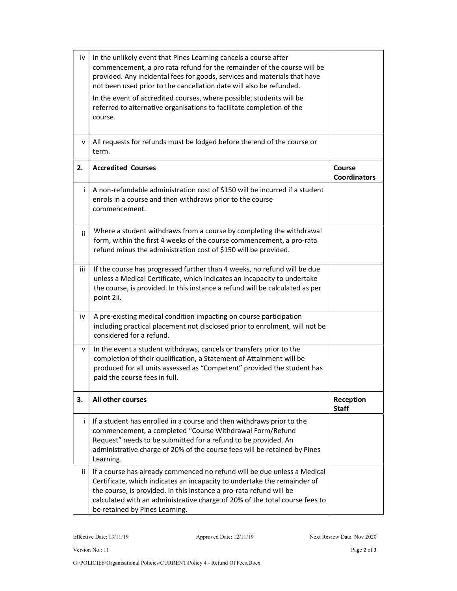| iv  | In the unlikely event that Pines Learning cancels a course after<br>commencement, a pro rata refund for the remainder of the course will be<br>provided. Any incidental fees for goods, services and materials that have<br>not been used prior to the cancellation date will also be refunded.                                              |                               |
|-----|----------------------------------------------------------------------------------------------------------------------------------------------------------------------------------------------------------------------------------------------------------------------------------------------------------------------------------------------|-------------------------------|
|     | In the event of accredited courses, where possible, students will be<br>referred to alternative organisations to facilitate completion of the<br>course.                                                                                                                                                                                     |                               |
| v   | All requests for refunds must be lodged before the end of the course or<br>term.                                                                                                                                                                                                                                                             |                               |
| 2.  | <b>Accredited Courses</b>                                                                                                                                                                                                                                                                                                                    | Course<br><b>Coordinators</b> |
| Ť   | A non-refundable administration cost of \$150 will be incurred if a student<br>enrols in a course and then withdraws prior to the course<br>commencement.                                                                                                                                                                                    |                               |
| ii. | Where a student withdraws from a course by completing the withdrawal<br>form, within the first 4 weeks of the course commencement, a pro-rata<br>refund minus the administration cost of \$150 will be provided.                                                                                                                             |                               |
| iii | If the course has progressed further than 4 weeks, no refund will be due<br>unless a Medical Certificate, which indicates an incapacity to undertake<br>the course, is provided. In this instance a refund will be calculated as per<br>point 2ii.                                                                                           |                               |
| iv  | A pre-existing medical condition impacting on course participation<br>including practical placement not disclosed prior to enrolment, will not be<br>considered for a refund.                                                                                                                                                                |                               |
| v   | In the event a student withdraws, cancels or transfers prior to the<br>completion of their qualification, a Statement of Attainment will be<br>produced for all units assessed as "Competent" provided the student has<br>paid the course fees in full.                                                                                      |                               |
| 3.  | All other courses                                                                                                                                                                                                                                                                                                                            | Reception<br><b>Staff</b>     |
| i.  | If a student has enrolled in a course and then withdraws prior to the<br>commencement, a completed "Course Withdrawal Form/Refund<br>Request" needs to be submitted for a refund to be provided. An<br>administrative charge of 20% of the course fees will be retained by Pines<br>Learning.                                                |                               |
| ii. | If a course has already commenced no refund will be due unless a Medical<br>Certificate, which indicates an incapacity to undertake the remainder of<br>the course, is provided. In this instance a pro-rata refund will be<br>calculated with an administrative charge of 20% of the total course fees to<br>be retained by Pines Learning. |                               |